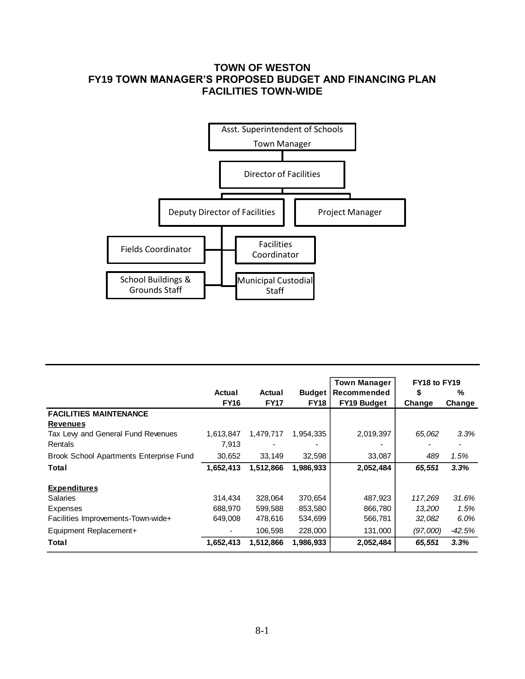## **TOWN OF WESTON FY19 TOWN MANAGER'S PROPOSED BUDGET AND FINANCING PLAN FACILITIES TOWN-WIDE**



|                                                |             |                          |               | <b>Town Manager</b> | FY18 to FY19 |          |  |
|------------------------------------------------|-------------|--------------------------|---------------|---------------------|--------------|----------|--|
|                                                | Actual      | Actual                   | <b>Budget</b> | Recommended         | \$           | %        |  |
|                                                | <b>FY16</b> | <b>FY17</b>              | <b>FY18</b>   | <b>FY19 Budget</b>  | Change       | Change   |  |
| <b>FACILITIES MAINTENANCE</b>                  |             |                          |               |                     |              |          |  |
| <b>Revenues</b>                                |             |                          |               |                     |              |          |  |
| Tax Lew and General Fund Revenues              | 1,613,847   | 1,479,717                | 1,954,335     | 2,019,397           | 65,062       | 3.3%     |  |
| Rentals                                        | 7.913       | $\overline{\phantom{0}}$ |               |                     | ٠            |          |  |
| <b>Brook School Apartments Enterprise Fund</b> | 30,652      | 33,149                   | 32,598        | 33,087              | 489          | 1.5%     |  |
| Total                                          | 1,652,413   | 1,512,866                | 1,986,933     | 2,052,484           | 65,551       | 3.3%     |  |
| <b>Expenditures</b>                            |             |                          |               |                     |              |          |  |
| <b>Salaries</b>                                | 314.434     | 328,064                  | 370,654       | 487,923             | 117,269      | 31.6%    |  |
| <b>Expenses</b>                                | 688.970     | 599,588                  | 853,580       | 866,780             | 13,200       | 1.5%     |  |
| Facilities Improvements-Town-wide+             | 649,008     | 478,616                  | 534,699       | 566,781             | 32,082       | 6.0%     |  |
| Equipment Replacement+                         |             | 106.598                  | 228,000       | 131,000             | (97,000)     | $-42.5%$ |  |
| Total                                          | 1,652,413   | 1,512,866                | 1,986,933     | 2,052,484           | 65,551       | 3.3%     |  |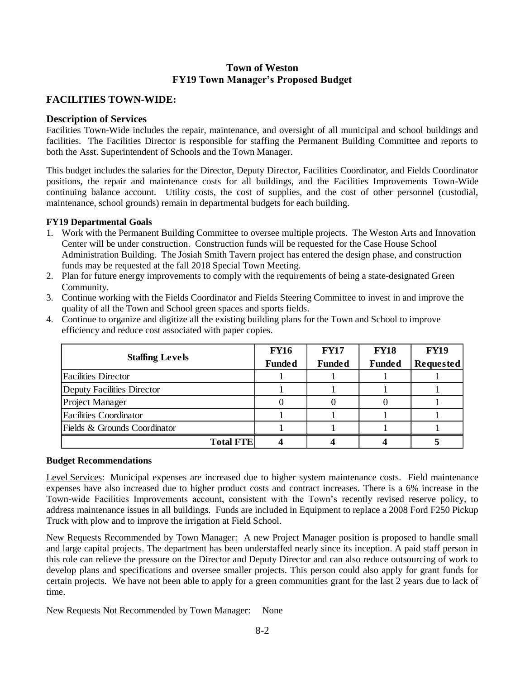### **Town of Weston FY19 Town Manager's Proposed Budget**

### **FACILITIES TOWN-WIDE:**

#### **Description of Services**

Facilities Town-Wide includes the repair, maintenance, and oversight of all municipal and school buildings and facilities. The Facilities Director is responsible for staffing the Permanent Building Committee and reports to both the Asst. Superintendent of Schools and the Town Manager.

This budget includes the salaries for the Director, Deputy Director, Facilities Coordinator, and Fields Coordinator positions, the repair and maintenance costs for all buildings, and the Facilities Improvements Town-Wide continuing balance account. Utility costs, the cost of supplies, and the cost of other personnel (custodial, maintenance, school grounds) remain in departmental budgets for each building.

#### **FY19 Departmental Goals**

- 1. Work with the Permanent Building Committee to oversee multiple projects. The Weston Arts and Innovation Center will be under construction. Construction funds will be requested for the Case House School Administration Building. The Josiah Smith Tavern project has entered the design phase, and construction funds may be requested at the fall 2018 Special Town Meeting.
- 2. Plan for future energy improvements to comply with the requirements of being a state-designated Green Community.
- 3. Continue working with the Fields Coordinator and Fields Steering Committee to invest in and improve the quality of all the Town and School green spaces and sports fields.
- 4. Continue to organize and digitize all the existing building plans for the Town and School to improve efficiency and reduce cost associated with paper copies.

|                               | <b>FY16</b>   | <b>FY17</b>   | <b>FY18</b>   | <b>FY19</b>      |
|-------------------------------|---------------|---------------|---------------|------------------|
| <b>Staffing Levels</b>        | <b>Funded</b> | <b>Funded</b> | <b>Funded</b> | <b>Requested</b> |
| <b>Facilities Director</b>    |               |               |               |                  |
| Deputy Facilities Director    |               |               |               |                  |
| Project Manager               |               |               |               |                  |
| <b>Facilities Coordinator</b> |               |               |               |                  |
| Fields & Grounds Coordinator  |               |               |               |                  |
| <b>Total FTE</b>              |               |               |               |                  |

#### **Budget Recommendations**

Level Services: Municipal expenses are increased due to higher system maintenance costs. Field maintenance expenses have also increased due to higher product costs and contract increases. There is a 6% increase in the Town-wide Facilities Improvements account, consistent with the Town's recently revised reserve policy, to address maintenance issues in all buildings. Funds are included in Equipment to replace a 2008 Ford F250 Pickup Truck with plow and to improve the irrigation at Field School.

New Requests Recommended by Town Manager: A new Project Manager position is proposed to handle small and large capital projects. The department has been understaffed nearly since its inception. A paid staff person in this role can relieve the pressure on the Director and Deputy Director and can also reduce outsourcing of work to develop plans and specifications and oversee smaller projects. This person could also apply for grant funds for certain projects. We have not been able to apply for a green communities grant for the last 2 years due to lack of time.

New Requests Not Recommended by Town Manager: None